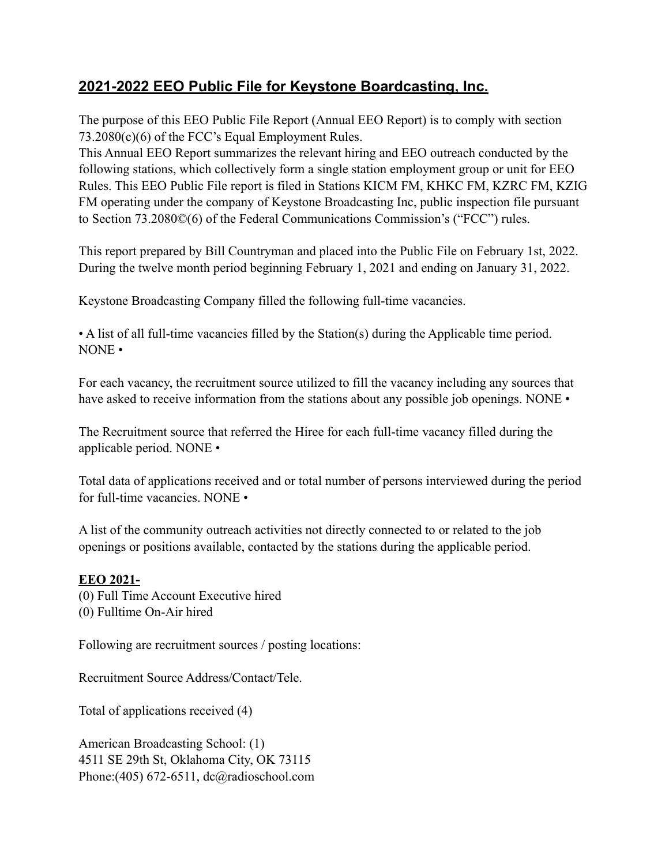# **2021-2022 EEO Public File for Keystone Boardcasting, Inc.** Ξ

The purpose of this EEO Public File Report (Annual EEO Report) is to comply with section 73.2080(c)(6) of the FCC's Equal Employment Rules.

This Annual EEO Report summarizes the relevant hiring and EEO outreach conducted by the following stations, which collectively form a single station employment group or unit for EEO Rules. This EEO Public File report is filed in Stations KICM FM, KHKC FM, KZRC FM, KZIG FM operating under the company of Keystone Broadcasting Inc, public inspection file pursuant to Section 73.2080©(6) of the Federal Communications Commission's ("FCC") rules.

This report prepared by Bill Countryman and placed into the Public File on February 1st, 2022. During the twelve month period beginning February 1, 2021 and ending on January 31, 2022.

Keystone Broadcasting Company filled the following full-time vacancies.

• A list of all full-time vacancies filled by the Station(s) during the Applicable time period. NONE •

For each vacancy, the recruitment source utilized to fill the vacancy including any sources that have asked to receive information from the stations about any possible job openings. NONE •

The Recruitment source that referred the Hiree for each full-time vacancy filled during the applicable period. NONE •

Total data of applications received and or total number of persons interviewed during the period for full-time vacancies. NONE •

A list of the community outreach activities not directly connected to or related to the job openings or positions available, contacted by the stations during the applicable period.

# **EEO 2021-**

(0) Full Time Account Executive hired (0) Fulltime On-Air hired

Following are recruitment sources / posting locations:

Recruitment Source Address/Contact/Tele.

Total of applications received (4)

American Broadcasting School: (1) 4511 SE 29th St, Oklahoma City, OK 73115 Phone:(405) 672-6511, dc@radioschool.com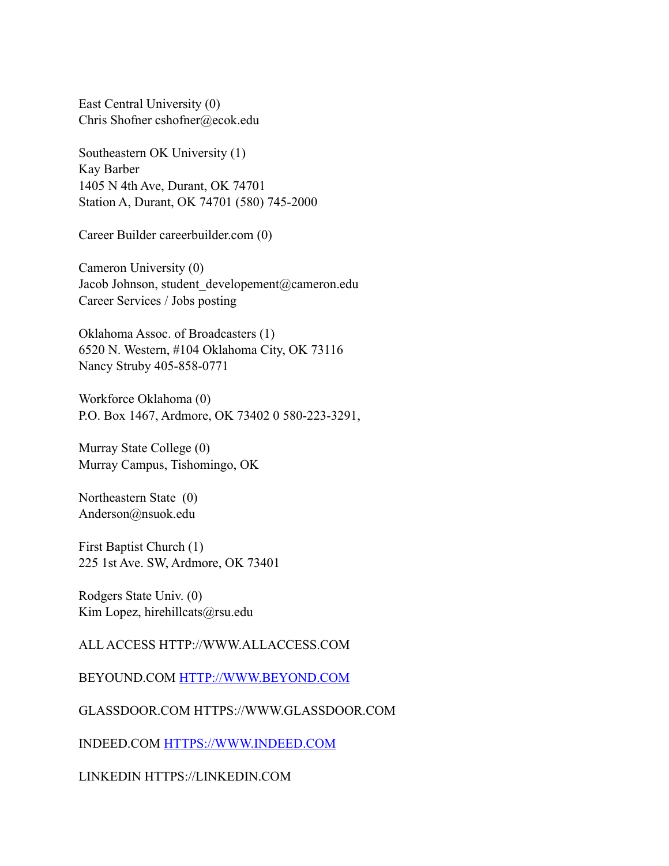East Central University (0) Chris Shofner cshofner@ecok.edu

Southeastern OK University (1) Kay Barber 1405 N 4th Ave, Durant, OK 74701 Station A, Durant, OK 74701 (580) 745-2000

Career Builder careerbuilder.com (0)

Cameron University (0) Jacob Johnson, student\_developement@cameron.edu Career Services / Jobs posting

Oklahoma Assoc. of Broadcasters (1) 6520 N. Western, #104 Oklahoma City, OK 73116 Nancy Struby 405-858-0771

Workforce Oklahoma (0) P.O. Box 1467, Ardmore, OK 73402 0 580-223-3291,

Murray State College (0) Murray Campus, Tishomingo, OK

Northeastern State (0) Anderson@nsuok.edu

First Baptist Church (1) 225 1st Ave. SW, Ardmore, OK 73401

Rodgers State Univ. (0) Kim Lopez, hirehillcats@rsu.edu

# ALL ACCESS HTTP://WWW.ALLACCESS.COM

BEYOUND.COM HTTP://WWW.BEYOND.COM

GLASSDOOR.COM HTTPS://WWW.GLASSDOOR.COM

INDEED.COM HTTPS://WWW.INDEED.COM

LINKEDIN HTTPS://LINKEDIN.COM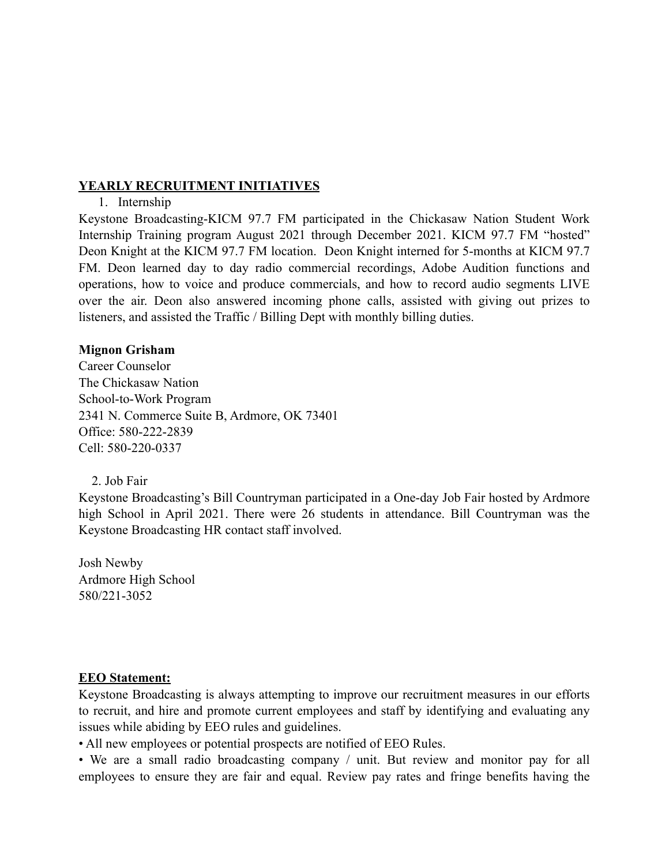## **YEARLY RECRUITMENT INITIATIVES**

#### 1. Internship

Keystone Broadcasting-KICM 97.7 FM participated in the Chickasaw Nation Student Work Internship Training program August 2021 through December 2021. KICM 97.7 FM "hosted" Deon Knight at the KICM 97.7 FM location. Deon Knight interned for 5-months at KICM 97.7 FM. Deon learned day to day radio commercial recordings, Adobe Audition functions and operations, how to voice and produce commercials, and how to record audio segments LIVE over the air. Deon also answered incoming phone calls, assisted with giving out prizes to listeners, and assisted the Traffic / Billing Dept with monthly billing duties.

### **Mignon Grisham**

Career Counselor The Chickasaw Nation School-to-Work Program 2341 N. Commerce Suite B, Ardmore, OK 73401 Office: 580-222-2839 Cell: 580-220-0337

2. Job Fair

Keystone Broadcasting's Bill Countryman participated in a One-day Job Fair hosted by Ardmore high School in April 2021. There were 26 students in attendance. Bill Countryman was the Keystone Broadcasting HR contact staff involved.

Josh Newby Ardmore High School 580/221-3052

#### **EEO Statement:**

Keystone Broadcasting is always attempting to improve our recruitment measures in our efforts to recruit, and hire and promote current employees and staff by identifying and evaluating any issues while abiding by EEO rules and guidelines.

• All new employees or potential prospects are notified of EEO Rules.

• We are a small radio broadcasting company / unit. But review and monitor pay for all employees to ensure they are fair and equal. Review pay rates and fringe benefits having the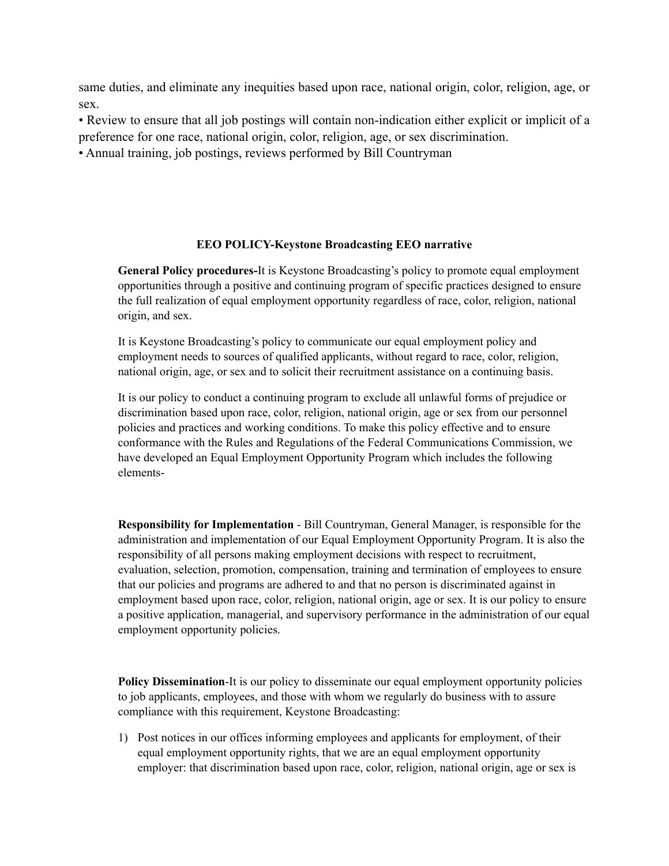same duties, and eliminate any inequities based upon race, national origin, color, religion, age, or sex.

• Review to ensure that all job postings will contain non-indication either explicit or implicit of a preference for one race, national origin, color, religion, age, or sex discrimination.

• Annual training, job postings, reviews performed by Bill Countryman

#### **EEO POLICY-Keystone Broadcasting EEO narrative**

**General Policy procedures-**It is Keystone Broadcasting's policy to promote equal employment opportunities through a positive and continuing program of specific practices designed to ensure the full realization of equal employment opportunity regardless of race, color, religion, national origin, and sex.

It is Keystone Broadcasting's policy to communicate our equal employment policy and employment needs to sources of qualified applicants, without regard to race, color, religion, national origin, age, or sex and to solicit their recruitment assistance on a continuing basis.

It is our policy to conduct a continuing program to exclude all unlawful forms of prejudice or discrimination based upon race, color, religion, national origin, age or sex from our personnel policies and practices and working conditions. To make this policy effective and to ensure conformance with the Rules and Regulations of the Federal Communications Commission, we have developed an Equal Employment Opportunity Program which includes the following elements-

**Responsibility for Implementation** - Bill Countryman, General Manager, is responsible for the administration and implementation of our Equal Employment Opportunity Program. It is also the responsibility of all persons making employment decisions with respect to recruitment, evaluation, selection, promotion, compensation, training and termination of employees to ensure that our policies and programs are adhered to and that no person is discriminated against in employment based upon race, color, religion, national origin, age or sex. It is our policy to ensure a positive application, managerial, and supervisory performance in the administration of our equal employment opportunity policies.

**Policy Dissemination-It** is our policy to disseminate our equal employment opportunity policies to job applicants, employees, and those with whom we regularly do business with to assure compliance with this requirement, Keystone Broadcasting:

1) Post notices in our offices informing employees and applicants for employment, of their equal employment opportunity rights, that we are an equal employment opportunity employer: that discrimination based upon race, color, religion, national origin, age or sex is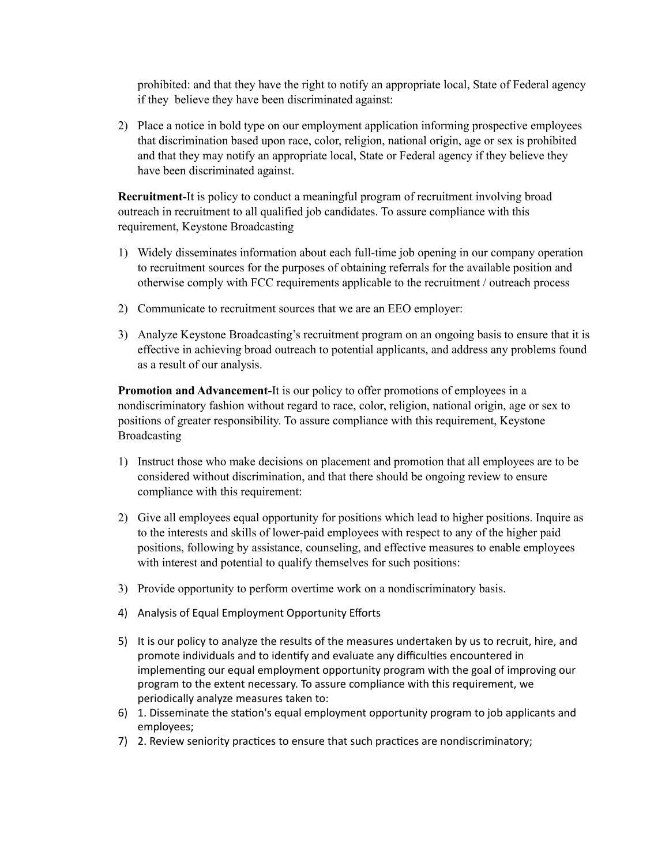prohibited: and that they have the right to notify an appropriate local, State of Federal agency if they believe they have been discriminated against:

2) Place a notice in bold type on our employment application informing prospective employees that discrimination based upon race, color, religion, national origin, age or sex is prohibited and that they may notify an appropriate local, State or Federal agency if they believe they have been discriminated against.

**Recruitment-**It is policy to conduct a meaningful program of recruitment involving broad outreach in recruitment to all qualified job candidates. To assure compliance with this requirement, Keystone Broadcasting

- 1) Widely disseminates information about each full-time job opening in our company operation to recruitment sources for the purposes of obtaining referrals for the available position and otherwise comply with FCC requirements applicable to the recruitment / outreach process
- 2) Communicate to recruitment sources that we are an EEO employer:
- 3) Analyze Keystone Broadcasting's recruitment program on an ongoing basis to ensure that it is effective in achieving broad outreach to potential applicants, and address any problems found as a result of our analysis.

**Promotion and Advancement-**It is our policy to offer promotions of employees in a nondiscriminatory fashion without regard to race, color, religion, national origin, age or sex to positions of greater responsibility. To assure compliance with this requirement, Keystone Broadcasting

- 1) Instruct those who make decisions on placement and promotion that all employees are to be considered without discrimination, and that there should be ongoing review to ensure compliance with this requirement:
- 2) Give all employees equal opportunity for positions which lead to higher positions. Inquire as to the interests and skills of lower-paid employees with respect to any of the higher paid positions, following by assistance, counseling, and effective measures to enable employees with interest and potential to qualify themselves for such positions:
- 3) Provide opportunity to perform overtime work on a nondiscriminatory basis.
- 4) Analysis of Equal Employment Opportunity Efforts
- 5) It is our policy to analyze the results of the measures undertaken by us to recruit, hire, and promote individuals and to identify and evaluate any difficulties encountered in implementing our equal employment opportunity program with the goal of improving our program to the extent necessary. To assure compliance with this requirement, we periodically analyze measures taken to:
- 6) 1. Disseminate the station's equal employment opportunity program to job applicants and employees;
- 7) 2. Review seniority practices to ensure that such practices are nondiscriminatory;